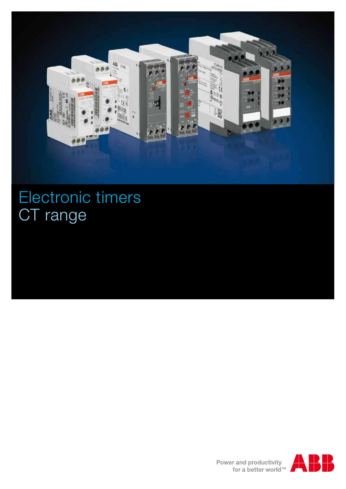

# Electronic timers CT range



Power and productivity<br>for a better world<sup>™</sup>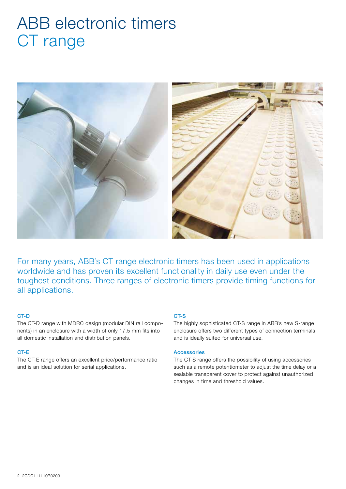## ABB electronic timers CT range



For many years, ABB's CT range electronic timers has been used in applications worldwide and has proven its excellent functionality in daily use even under the toughest conditions. Three ranges of electronic timers provide timing functions for all applications.

#### CT-D

The CT-D range with MDRC design (modular DIN rail components) in an enclosure with a width of only 17.5 mm fits into all domestic installation and distribution panels.

#### CT-E

The CT-E range offers an excellent price/performance ratio and is an ideal solution for serial applications.

#### CT-S

The highly sophisticated CT-S range in ABB's new S-range enclosure offers two different types of connection terminals and is ideally suited for universal use.

#### Accessories

The CT-S range offers the possibility of using accessories such as a remote potentiometer to adjust the time delay or a sealable transparent cover to protect against unauthorized changes in time and threshold values.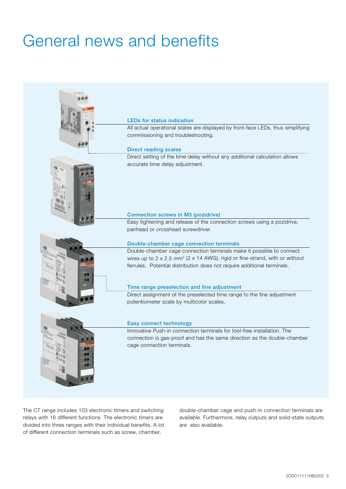# General news and benefits



The CT range includes 103 electronic timers and switching relays with 16 different functions. The electronic timers are divided into three ranges with their individual benefits. A lot of different connection terminals such as screw, chamber,

double-chamber cage and push-in connection terminals are available. Furthermore, relay outputs and solid-state outputs are also available.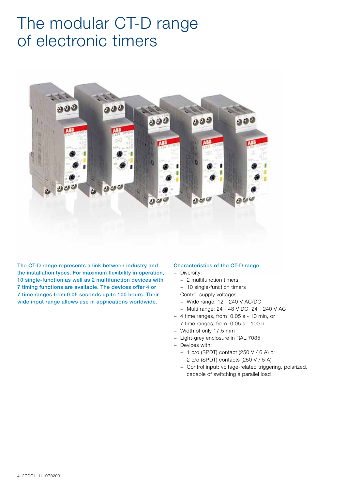### The modular CT-D range of electronic timers



The CT-D range represents a link between industry and the installation types. For maximum flexibility in operation, 10 single-function as well as 2 multifunction devices with 7 timing functions are available. The devices offer 4 or 7 time ranges from 0.05 seconds up to 100 hours. Their wide input range allows use in applications worldwide.

#### Characteristics of the CT-D range:

- − Diversity:
	- − 2 multifunction timers
	- − 10 single-function timers
- − Control supply voltages:
	- − Wide range: 12 240 V AC/DC
	- − Multi range: 24 48 V DC, 24 240 V AC
- − 4 time ranges, from 0.05 s 10 min, or
- − 7 time ranges, from 0.05 s 100 h
- − Width of only 17.5 mm
- − Light-grey enclosure in RAL 7035
- − Devices with:
	- − 1 c/o (SPDT) contact (250 V / 6 A) or 2 c/o (SPDT) contacts (250 V / 5 A)
	- − Control input: voltage-related triggering, polarized,
	- capable of switching a parallel load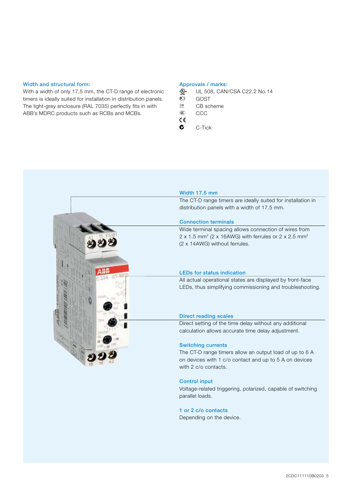#### Width and structural form:

With a width of only 17,5 mm, the CT-D range of electronic timers is ideally suited for installation in distribution panels. The light-grey enclosure (RAL 7035) perfectly fits in with ABB's MDRC products such as RCBs and MCBs.

#### Approvals / marks:

- $\frac{A_{\text{max}}}{A_{\text{max}}}$  UL 508, CAN/CSA C22.2 No.14  $\overline{\mathbb{G}}$  GOST
- $CE$  CB scheme
- CCC CCC  $c\epsilon$
- $C -$ Tick



#### Control input

Voltage-related triggering, polarized, capable of switching parallel loads.

#### 1 or 2 c/o contacts

Depending on the device.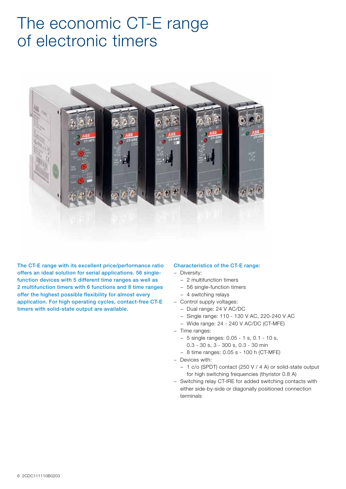### The economic CT-E range of electronic timers



The CT-E range with its excellent price/performance ratio offers an ideal solution for serial applications. 56 singlefunction devices with 5 different time ranges as well as 2 multifunction timers with 6 functions and 8 time ranges offer the highest possible flexibility for almost every application. For high operating cycles, contact-free CT-E timers with solid-state output are available.

#### Characteristics of the CT-E range:

- − Diversity:
	- − 2 multifunction timers
	- − 56 single-function timers
	- − 4 switching relays
- − Control supply voltages:
	- − Dual range: 24 V AC/DC
	- − Single range: 110 130 V AC, 220-240 V AC
	- − Wide range: 24 240 V AC/DC (CT-MFE)
- − Time ranges:
	- − 5 single ranges: 0.05 1 s, 0.1 10 s, 0.3 - 30 s, 3 - 300 s, 0.3 - 30 min
	- − 8 time ranges: 0.05 s 100 h (CT-MFE)
- − Devices with:
	-
	- − 1 c/o (SPDT) contact (250 V / 4 A) or solid-state output for high switching frequencies (thyristor 0.8 A)
- − Switching relay CT-IRE for added switching contacts with either side-by-side or diagonally positioned connection terminals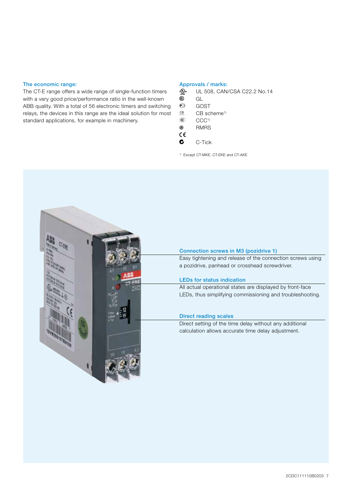#### The economic range:

The CT-E range offers a wide range of single-function timers with a very good price/performance ratio in the well-known ABB quality. With a total of 56 electronic timers and switching relays, the devices in this range are the ideal solution for most standard applications, for example in machinery.

#### Approvals / marks:

- $\frac{A_{\text{max}}}{A_{\text{max}}}$  UL 508, CAN/CSA C22.2 No.14
- $\overline{\overset{\circ}{\mathbb{G}}}$  GL<br> $\overset{\circ}{\mathbb{G}}$  GC
- C GOST<br>CB CB scl
- $CB$  scheme<sup>1)</sup>
- $\circledR$  CCC<sup>1)</sup>
- **®** RMRS  $c\epsilon$
- $\bullet$  C-Tick
- 1) Except CT-MKE, CT-EKE and CT-AKE

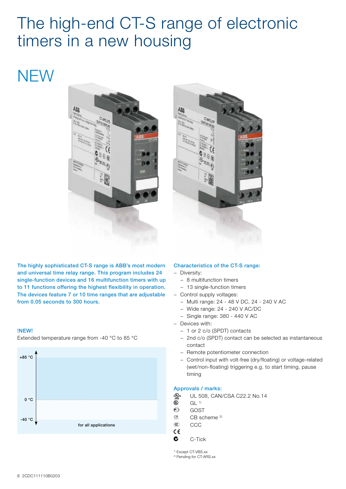## The high-end CT-S range of electronic timers in a new housing

### **NEW**





The highly sophisticated CT-S range is ABB's most modern and universal time relay range. This program includes 24 single-function devices and 16 multifunction timers with up to 11 functions offering the highest flexibility in operation. The devices feature 7 or 10 time ranges that are adjustable from 0.05 seconds to 300 hours.

#### !NEW!

Extended temperature range from -40 °C to 85 °C



#### Characteristics of the CT-S range:

- − Diversity:
	- − 8 multifunction timers
	- − 13 single-function timers
- − Control supply voltages:
	- − Multi range: 24 48 V DC, 24 240 V AC
	- − Wide range: 24 240 V AC/DC
	- − Single range: 380 440 V AC
- − Devices with:
	- − 1 or 2 c/o (SPDT) contacts
	- − 2nd c/o (SPDT) contact can be selected as instantaneous contact
	- − Remote potentiometer connection
	- − Control input with volt-free (dry/floating) or voltage-related (wet/non-floating) triggering e.g. to start timing, pause timing

#### Approvals / marks:

- $A_{\text{LSTM}}^{\text{Gup}}$  UL 508, CAN/CSA C22.2 No.14
- $\overline{\overset{\circ}{\mathbb{C}}}$  GL <sup>1)</sup><br> $\overline{\overset{\circ}{\mathbb{C}}}$  GOS
	- GOST
- $CB$  scheme  $^{2)}$
- CCC CCC
- a
- $\bullet$  C-Tick
- 1) Except CT-VBS.xx
- 2) Pending for CT-ARS.xx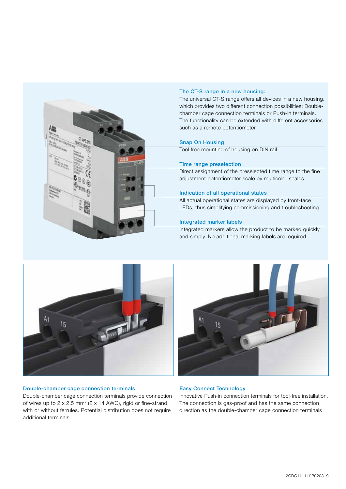

#### The CT-S range in a new housing:

The universal CT-S range offers all devices in a new housing, which provides two different connection possibilities: Doublechamber cage connection terminals or Push-in terminals. The functionality can be extended with different accessories such as a remote potentiometer.

#### Snap On Housing

Tool free mounting of housing on DIN rail

#### Time range preselection

Direct assignment of the preselected time range to the fine adjustment potentiometer scale by multicolor scales.

#### Indication of all operational states

All actual operational states are displayed by front-face LEDs, thus simplifying commissioning and troubleshooting.

#### Integrated marker labels

Integrated markers allow the product to be marked quickly and simply. No additional marking labels are required.



#### Double-chamber cage connection terminals

Double-chamber cage connection terminals provide connection of wires up to  $2 \times 2.5$  mm<sup>2</sup> ( $2 \times 14$  AWG), rigid or fine-strand, with or without ferrules. Potential distribution does not require additional terminals.



#### Easy Connect Technology

Innovative Push-in connection terminals for tool-free installation. The connection is gas-proof and has the same connection direction as the double-chamber cage connection terminals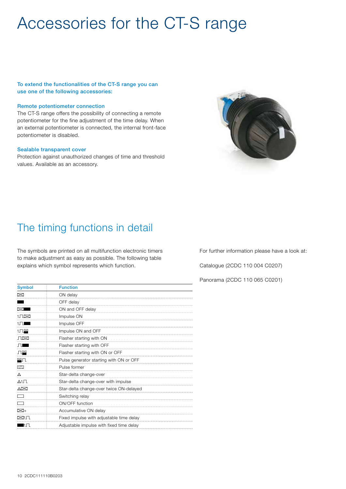## Accessories for the CT-S range

To extend the functionalities of the CT-S range you can use one of the following accessories:

#### Remote potentiometer connection

The CT-S range offers the possibility of connecting a remote potentiometer for the fine adjustment of the time delay. When an external potentiometer is connected, the internal front-face potentiometer is disabled.

#### Sealable transparent cover

Protection against unauthorized changes of time and threshold values. Available as an accessory.



### The timing functions in detail

The symbols are printed on all multifunction electronic timers to make adjustment as easy as possible. The following table explains which symbol represents which function.

| <b>Symbol</b>                   | <b>Function</b>                          |
|---------------------------------|------------------------------------------|
| $\boxtimes$                     | ON delay                                 |
|                                 | OFF delay                                |
| $\bowtie$ $\blacksquare$        | ON and OFF delay                         |
| 1.N⊠                            | Impulse ON                               |
| $1\sqrt{1}$                     | Impulse OFF                              |
| 1∏≌                             | Impulse ON and OFF                       |
| Л⊠                              | Flasher starting with ON                 |
| $\Box$                          | Flasher starting with OFF                |
| Л警                              | Flasher starting with ON or OFF          |
| ≌Π                              | Pulse generator starting with ON or OFF  |
| $\overline{11}$                 | Pulse former                             |
| Δ                               | Star-delta change-over                   |
| $\triangle$ 1 $\Gamma$          | Star-delta change-over with impulse      |
| A⊠                              | Star-delta change-over twice ON-delayed  |
| ┌─┐                             | Switching relay                          |
|                                 | ON/OFF function                          |
| ⊠+                              | Accumulative ON delay                    |
| ⊠1Л                             | Fixed impulse with adjustable time delay |
| $\blacksquare$ 1 $\blacksquare$ | Adjustable impulse with fixed time delay |

For further information please have a look at:

Catalogue (2CDC 110 004 C0207)

Panorama (2CDC 110 065 C0201)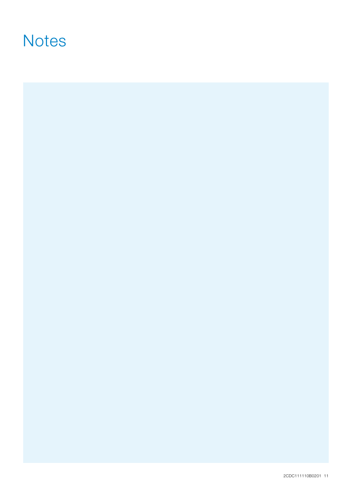### **Notes**